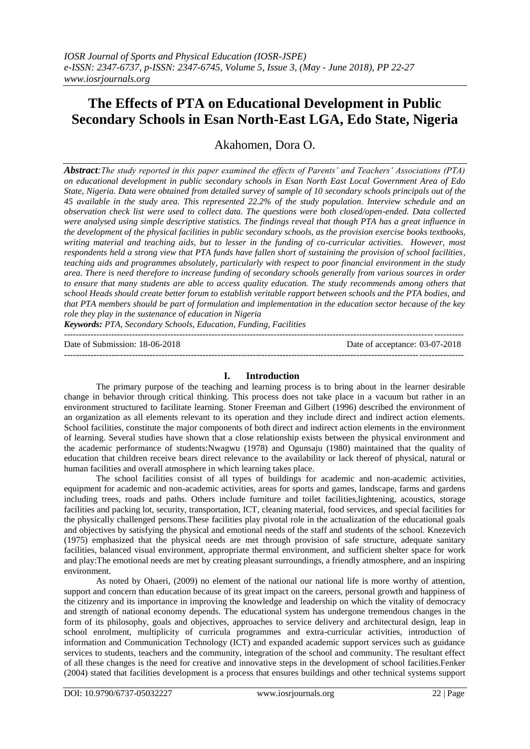# **The Effects of PTA on Educational Development in Public Secondary Schools in Esan North-East LGA, Edo State, Nigeria**

Akahomen, Dora O.

*Abstract:The study reported in this paper examined the effects of Parents' and Teachers' Associations (PTA) on educational development in public secondary schools in Esan North East Local Government Area of Edo State, Nigeria. Data were obtained from detailed survey of sample of 10 secondary schools principals out of the 45 available in the study area. This represented 22.2% of the study population. Interview schedule and an observation check list were used to collect data. The questions were both closed/open-ended. Data collected were analysed using simple descriptive statistics. The findings reveal that though PTA has a great influence in the development of the physical facilities in public secondary schools, as the provision exercise books textbooks, writing material and teaching aids, but to lesser in the funding of co-curricular activities. However, most respondents held a strong view that PTA funds have fallen short of sustaining the provision of school facilities, teaching aids and programmes absolutely, particularly with respect to poor financial environment in the study area. There is need therefore to increase funding of secondary schools generally from various sources in order to ensure that many students are able to access quality education. The study recommends among others that school Heads should create better forum to establish veritable rapport between schools and the PTA bodies, and that PTA members should be part of formulation and implementation in the education sector because of the key role they play in the sustenance of education in Nigeria*

*Keywords: PTA, Secondary Schools, Education, Funding, Facilities* ---------------------------------------------------------------------------------------------------------------------------------------

Date of Submission: 18-06-2018 Date of acceptance: 03-07-2018 ---------------------------------------------------------------------------------------------------------------------------------------

# **I. Introduction**

The primary purpose of the teaching and learning process is to bring about in the learner desirable change in behavior through critical thinking. This process does not take place in a vacuum but rather in an environment structured to facilitate learning. Stoner Freeman and Gilbert (1996) described the environment of an organization as all elements relevant to its operation and they include direct and indirect action elements. School facilities, constitute the major components of both direct and indirect action elements in the environment of learning. Several studies have shown that a close relationship exists between the physical environment and the academic performance of students:Nwagwu (1978) and Ogunsaju (1980) maintained that the quality of education that children receive bears direct relevance to the availability or lack thereof of physical, natural or human facilities and overall atmosphere in which learning takes place.

The school facilities consist of all types of buildings for academic and non-academic activities, equipment for academic and non-academic activities, areas for sports and games, landscape, farms and gardens including trees, roads and paths. Others include furniture and toilet facilities,lightening, acoustics, storage facilities and packing lot, security, transportation, ICT, cleaning material, food services, and special facilities for the physically challenged persons.These facilities play pivotal role in the actualization of the educational goals and objectives by satisfying the physical and emotional needs of the staff and students of the school. Knezevich (1975) emphasized that the physical needs are met through provision of safe structure, adequate sanitary facilities, balanced visual environment, appropriate thermal environment, and sufficient shelter space for work and play:The emotional needs are met by creating pleasant surroundings, a friendly atmosphere, and an inspiring environment.

As noted by Ohaeri, (2009) no element of the national our national life is more worthy of attention, support and concern than education because of its great impact on the careers, personal growth and happiness of the citizenry and its importance in improving the knowledge and leadership on which the vitality of democracy and strength of national economy depends. The educational system has undergone tremendous changes in the form of its philosophy, goals and objectives, approaches to service delivery and architectural design, leap in school enrolment, multiplicity of curricula programmes and extra-curricular activities, introduction of information and Communication Technology (ICT) and expanded academic support services such as guidance services to students, teachers and the community, integration of the school and community. The resultant effect of all these changes is the need for creative and innovative steps in the development of school facilities.Fenker (2004) stated that facilities development is a process that ensures buildings and other technical systems support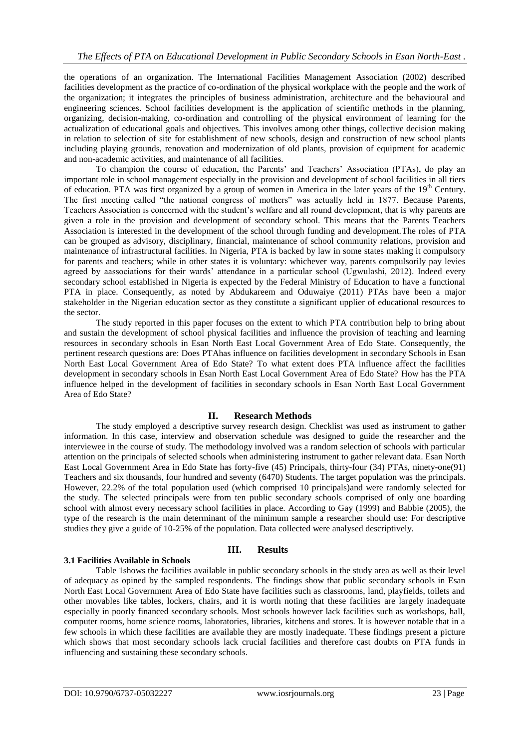the operations of an organization. The International Facilities Management Association (2002) described facilities development as the practice of co-ordination of the physical workplace with the people and the work of the organization; it integrates the principles of business administration, architecture and the behavioural and engineering sciences. School facilities development is the application of scientific methods in the planning, organizing, decision-making, co-ordination and controlling of the physical environment of learning for the actualization of educational goals and objectives. This involves among other things, collective decision making in relation to selection of site for establishment of new schools, design and construction of new school plants including playing grounds, renovation and modernization of old plants, provision of equipment for academic and non-academic activities, and maintenance of all facilities.

To champion the course of education, the Parents' and Teachers' Association (PTAs), do play an important role in school management especially in the provision and development of school facilities in all tiers of education. PTA was first organized by a group of women in America in the later years of the  $19<sup>th</sup>$  Century. The first meeting called "the national congress of mothers" was actually held in 1877. Because Parents, Teachers Association is concerned with the student's welfare and all round development, that is why parents are given a role in the provision and development of secondary school. This means that the Parents Teachers Association is interested in the development of the school through funding and development.The roles of PTA can be grouped as advisory, disciplinary, financial, maintenance of school community relations, provision and maintenance of infrastructural facilities. In Nigeria, PTA is backed by law in some states making it compulsory for parents and teachers; while in other states it is voluntary: whichever way, parents compulsorily pay levies agreed by aassociations for their wards' attendance in a particular school (Ugwulashi, 2012). Indeed every secondary school established in Nigeria is expected by the Federal Ministry of Education to have a functional PTA in place. Consequently, as noted by Abdukareem and Oduwaiye (2011) PTAs have been a major stakeholder in the Nigerian education sector as they constitute a significant upplier of educational resources to the sector.

The study reported in this paper focuses on the extent to which PTA contribution help to bring about and sustain the development of school physical facilities and influence the provision of teaching and learning resources in secondary schools in Esan North East Local Government Area of Edo State. Consequently, the pertinent research questions are: Does PTAhas influence on facilities development in secondary Schools in Esan North East Local Government Area of Edo State? To what extent does PTA influence affect the facilities development in secondary schools in Esan North East Local Government Area of Edo State? How has the PTA influence helped in the development of facilities in secondary schools in Esan North East Local Government Area of Edo State?

# **II. Research Methods**

The study employed a descriptive survey research design. Checklist was used as instrument to gather information. In this case, interview and observation schedule was designed to guide the researcher and the interviewee in the course of study. The methodology involved was a random selection of schools with particular attention on the principals of selected schools when administering instrument to gather relevant data. Esan North East Local Government Area in Edo State has forty-five (45) Principals, thirty-four (34) PTAs, ninety-one(91) Teachers and six thousands, four hundred and seventy (6470) Students. The target population was the principals. However, 22.2% of the total population used (which comprised 10 principals)and were randomly selected for the study. The selected principals were from ten public secondary schools comprised of only one boarding school with almost every necessary school facilities in place. According to Gay (1999) and Babbie (2005), the type of the research is the main determinant of the minimum sample a researcher should use: For descriptive studies they give a guide of 10-25% of the population. Data collected were analysed descriptively.

#### **III. Results**

#### **3.1 Facilities Available in Schools**

Table 1shows the facilities available in public secondary schools in the study area as well as their level of adequacy as opined by the sampled respondents. The findings show that public secondary schools in Esan North East Local Government Area of Edo State have facilities such as classrooms, land, playfields, toilets and other movables like tables, lockers, chairs, and it is worth noting that these facilities are largely inadequate especially in poorly financed secondary schools. Most schools however lack facilities such as workshops, hall, computer rooms, home science rooms, laboratories, libraries, kitchens and stores. It is however notable that in a few schools in which these facilities are available they are mostly inadequate. These findings present a picture which shows that most secondary schools lack crucial facilities and therefore cast doubts on PTA funds in influencing and sustaining these secondary schools.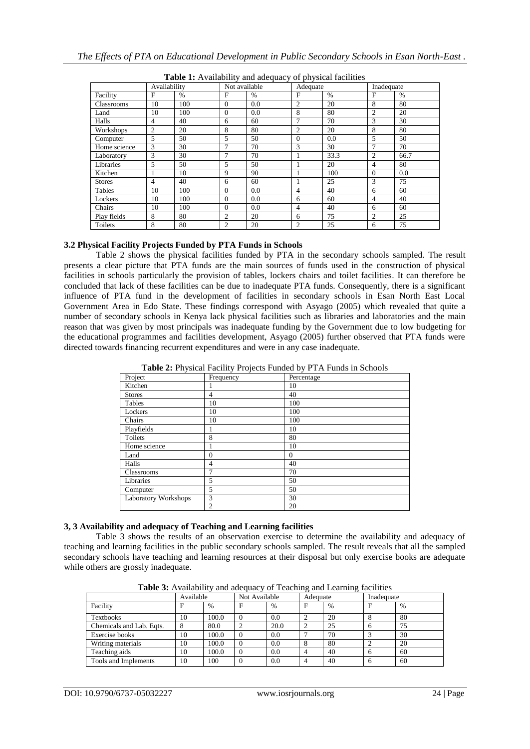| $\sim$<br>$\frac{1}{2}$ |                |      |               |               |                |               |                |      |
|-------------------------|----------------|------|---------------|---------------|----------------|---------------|----------------|------|
|                         | Availability   |      | Not available |               | Adequate       |               | Inadequate     |      |
| Facility                | F              | $\%$ | F             | $\frac{0}{0}$ | $\mathbf{F}$   | $\frac{0}{0}$ | F              | $\%$ |
| Classrooms              | 10             | 100  | $\Omega$      | 0.0           | 2              | 20            | 8              | 80   |
| Land                    | 10             | 100  | $\mathbf{0}$  | 0.0           | 8              | 80            | $\overline{2}$ | 20   |
| Halls                   | $\overline{4}$ | 40   | 6             | 60            | $\overline{7}$ | 70            | 3              | 30   |
| Workshops               | 2              | 20   | 8             | 80            | 2              | 20            | 8              | 80   |
| Computer                | 5              | 50   | 5             | 50            | $\Omega$       | 0.0           | 5              | 50   |
| Home science            | 3              | 30   | 7             | 70            | 3              | 30            | 7              | 70   |
| Laboratory              | 3              | 30   | 7             | 70            |                | 33.3          | 2              | 66.7 |
| Libraries               | 5              | 50   | 5             | 50            |                | 20            | 4              | 80   |
| Kitchen                 |                | 10   | 9             | 90            | 1              | 100           | $\Omega$       | 0.0  |
| <b>Stores</b>           | $\overline{4}$ | 40   | 6             | 60            |                | 25            | 3              | 75   |
| Tables                  | 10             | 100  | $\Omega$      | 0.0           | $\overline{4}$ | 40            | 6              | 60   |
| Lockers                 | 10             | 100  | $\Omega$      | 0.0           | 6              | 60            | $\overline{4}$ | 40   |
| Chairs                  | 10             | 100  | $\Omega$      | 0.0           | $\overline{4}$ | 40            | 6              | 60   |
| Play fields             | 8              | 80   | 2             | 20            | 6              | 75            | $\overline{c}$ | 25   |
| Toilets                 | 8              | 80   | 2             | 20            | 2              | 25            | 6              | 75   |

**Table 1:** Availability and adequacy of physical facilities

## **3.2 Physical Facility Projects Funded by PTA Funds in Schools**

Table 2 shows the physical facilities funded by PTA in the secondary schools sampled. The result presents a clear picture that PTA funds are the main sources of funds used in the construction of physical facilities in schools particularly the provision of tables, lockers chairs and toilet facilities. It can therefore be concluded that lack of these facilities can be due to inadequate PTA funds. Consequently, there is a significant influence of PTA fund in the development of facilities in secondary schools in Esan North East Local Government Area in Edo State. These findings correspond with Asyago (2005) which revealed that quite a number of secondary schools in Kenya lack physical facilities such as libraries and laboratories and the main reason that was given by most principals was inadequate funding by the Government due to low budgeting for the educational programmes and facilities development, Asyago (2005) further observed that PTA funds were directed towards financing recurrent expenditures and were in any case inadequate.

| _. _ _ <i>_</i> ___<br>Project | <i>.,</i> , .<br>Frequency | Percentage   |
|--------------------------------|----------------------------|--------------|
| Kitchen                        |                            | 10           |
| <b>Stores</b>                  | 4                          | 40           |
| Tables                         | 10                         | 100          |
| Lockers                        | 10                         | 100          |
| Chairs                         | 10                         | 100          |
| Playfields                     |                            | 10           |
| Toilets                        | 8                          | 80           |
| Home science                   |                            | 10           |
| Land                           | $\theta$                   | $\mathbf{0}$ |
| Halls                          | 4                          | 40           |
| Classrooms                     | $\overline{7}$             | 70           |
| Libraries                      | 5                          | 50           |
| Computer                       | 5                          | 50           |
| Laboratory Workshops           | 3                          | 30           |
|                                | $\overline{2}$             | 20           |

**Table 2:** Physical Facility Projects Funded by PTA Funds in Schools

#### **3, 3 Availability and adequacy of Teaching and Learning facilities**

Table 3 shows the results of an observation exercise to determine the availability and adequacy of teaching and learning facilities in the public secondary schools sampled. The result reveals that all the sampled secondary schools have teaching and learning resources at their disposal but only exercise books are adequate while others are grossly inadequate.

|                          | Available |               | Not Available |               | Adequate |               | Inadequate |      |
|--------------------------|-----------|---------------|---------------|---------------|----------|---------------|------------|------|
| Facility                 | F         | $\frac{0}{0}$ | F             | $\frac{0}{0}$ | F        | $\frac{0}{0}$ |            | $\%$ |
| <b>Textbooks</b>         | 10        | 100.0         |               | 0.0           |          | 20            |            | 80   |
| Chemicals and Lab. Eqts. |           | 80.0          |               | 20.0          |          | 25            |            | 75   |
| Exercise books           | 10        | 100.0         | $\Omega$      | 0.0           |          | 70            |            | 30   |
| Writing materials        | 10        | 100.0         |               | 0.0           |          | 80            |            | 20   |
| Teaching aids            | 10        | 100.0         | $\Omega$      | 0.0           | 4        | 40            |            | 60   |
| Tools and Implements     | 10        | 100           |               | 0.0           | 4        | 40            | h          | 60   |

**Table 3:** Availability and adequacy of Teaching and Learning facilities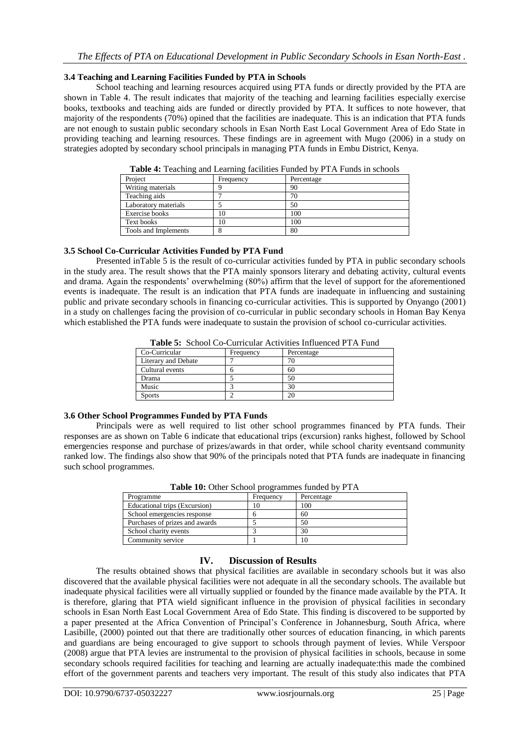### **3.4 Teaching and Learning Facilities Funded by PTA in Schools**

School teaching and learning resources acquired using PTA funds or directly provided by the PTA are shown in Table 4. The result indicates that majority of the teaching and learning facilities especially exercise books, textbooks and teaching aids are funded or directly provided by PTA. It suffices to note however, that majority of the respondents (70%) opined that the facilities are inadequate. This is an indication that PTA funds are not enough to sustain public secondary schools in Esan North East Local Government Area of Edo State in providing teaching and learning resources. These findings are in agreement with Mugo (2006) in a study on strategies adopted by secondary school principals in managing PTA funds in Embu District, Kenya.

| <b>Table +.</b> I cacining and Ecalining facinties Funded by T TA Funds in Schools |           |            |  |  |  |
|------------------------------------------------------------------------------------|-----------|------------|--|--|--|
| Project                                                                            | Frequency | Percentage |  |  |  |
| Writing materials                                                                  |           | 90         |  |  |  |
| Teaching aids                                                                      |           | 70         |  |  |  |
| Laboratory materials                                                               |           | 50         |  |  |  |
| Exercise books                                                                     | 10        | 100        |  |  |  |
| Text books                                                                         | 10        | 100        |  |  |  |
| Tools and Implements                                                               |           | 80         |  |  |  |
|                                                                                    |           |            |  |  |  |

**Table 4:** Teaching and Learning facilities Funded by PTA Funds in schools

# **3.5 School Co-Curricular Activities Funded by PTA Fund**

Presented inTable 5 is the result of co-curricular activities funded by PTA in public secondary schools in the study area. The result shows that the PTA mainly sponsors literary and debating activity, cultural events and drama. Again the respondents' overwhelming (80%) affirm that the level of support for the aforementioned events is inadequate. The result is an indication that PTA funds are inadequate in influencing and sustaining public and private secondary schools in financing co-curricular activities. This is supported by Onyango (2001) in a study on challenges facing the provision of co-curricular in public secondary schools in Homan Bay Kenya which established the PTA funds were inadequate to sustain the provision of school co-curricular activities.

| Co-Curricular       | Frequency | Percentage |
|---------------------|-----------|------------|
| Literary and Debate |           |            |
| Cultural events     |           | 60         |
| Drama               |           | 50         |
| Music               |           | 30         |
| <b>Sports</b>       |           |            |
|                     |           |            |

### **3.6 Other School Programmes Funded by PTA Funds**

Principals were as well required to list other school programmes financed by PTA funds. Their responses are as shown on Table 6 indicate that educational trips (excursion) ranks highest, followed by School emergencies response and purchase of prizes/awards in that order, while school charity eventsand community ranked low. The findings also show that 90% of the principals noted that PTA funds are inadequate in financing such school programmes.

| <b>THOIC TO:</b> Other Denoor programmes randed by I TIT |           |            |  |  |  |
|----------------------------------------------------------|-----------|------------|--|--|--|
| Programme                                                | Frequency | Percentage |  |  |  |
| Educational trips (Excursion)                            | 10        | 100        |  |  |  |
| School emergencies response                              |           | 60         |  |  |  |
| Purchases of prizes and awards                           |           | 50         |  |  |  |
| School charity events                                    |           | 30         |  |  |  |
| Community service                                        |           | 10         |  |  |  |

**Table 10:** Other School programmes funded by PTA

# **IV. Discussion of Results**

The results obtained shows that physical facilities are available in secondary schools but it was also discovered that the available physical facilities were not adequate in all the secondary schools. The available but inadequate physical facilities were all virtually supplied or founded by the finance made available by the PTA. It is therefore, glaring that PTA wield significant influence in the provision of physical facilities in secondary schools in Esan North East Local Government Area of Edo State. This finding is discovered to be supported by a paper presented at the Africa Convention of Principal's Conference in Johannesburg, South Africa, where Lasibille, (2000) pointed out that there are traditionally other sources of education financing, in which parents and guardians are being encouraged to give support to schools through payment of levies. While Verspoor (2008) argue that PTA levies are instrumental to the provision of physical facilities in schools, because in some secondary schools required facilities for teaching and learning are actually inadequate:this made the combined effort of the government parents and teachers very important. The result of this study also indicates that PTA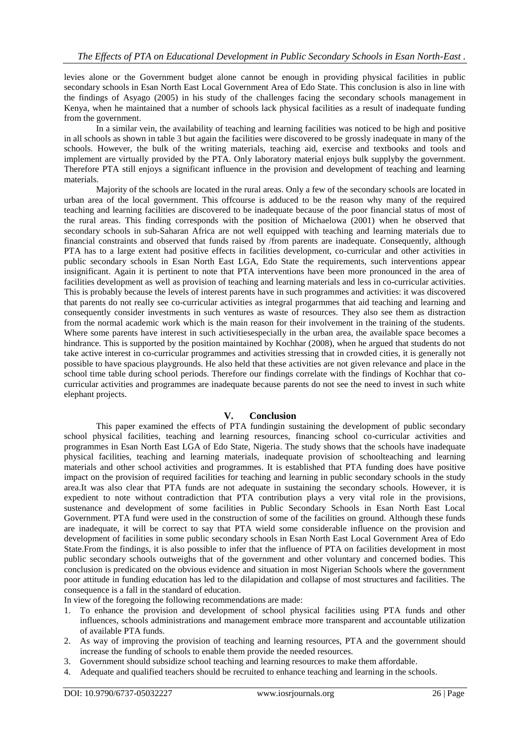levies alone or the Government budget alone cannot be enough in providing physical facilities in public secondary schools in Esan North East Local Government Area of Edo State. This conclusion is also in line with the findings of Asyago (2005) in his study of the challenges facing the secondary schools management in Kenya, when he maintained that a number of schools lack physical facilities as a result of inadequate funding from the government.

In a similar vein, the availability of teaching and learning facilities was noticed to be high and positive in all schools as shown in table 3 but again the facilities were discovered to be grossly inadequate in many of the schools. However, the bulk of the writing materials, teaching aid, exercise and textbooks and tools and implement are virtually provided by the PTA. Only laboratory material enjoys bulk supplyby the government. Therefore PTA still enjoys a significant influence in the provision and development of teaching and learning materials.

Majority of the schools are located in the rural areas. Only a few of the secondary schools are located in urban area of the local government. This offcourse is adduced to be the reason why many of the required teaching and learning facilities are discovered to be inadequate because of the poor financial status of most of the rural areas. This finding corresponds with the position of Michaelowa (2001) when he observed that secondary schools in sub-Saharan Africa are not well equipped with teaching and learning materials due to financial constraints and observed that funds raised by /from parents are inadequate. Consequently, although PTA has to a large extent had positive effects in facilities development, co-curricular and other activities in public secondary schools in Esan North East LGA, Edo State the requirements, such interventions appear insignificant. Again it is pertinent to note that PTA interventions have been more pronounced in the area of facilities development as well as provision of teaching and learning materials and less in co-curricular activities. This is probably because the levels of interest parents have in such programmes and activities: it was discovered that parents do not really see co-curricular activities as integral progarmmes that aid teaching and learning and consequently consider investments in such ventures as waste of resources. They also see them as distraction from the normal academic work which is the main reason for their involvement in the training of the students. Where some parents have interest in such activitiesespecially in the urban area, the available space becomes a hindrance. This is supported by the position maintained by Kochhar (2008), when he argued that students do not take active interest in co-curricular programmes and activities stressing that in crowded cities, it is generally not possible to have spacious playgrounds. He also held that these activities are not given relevance and place in the school time table during school periods. Therefore our findings correlate with the findings of Kochhar that cocurricular activities and programmes are inadequate because parents do not see the need to invest in such white elephant projects.

# **V. Conclusion**

This paper examined the effects of PTA fundingin sustaining the development of public secondary school physical facilities, teaching and learning resources, financing school co-curricular activities and programmes in Esan North East LGA of Edo State, Nigeria. The study shows that the schools have inadequate physical facilities, teaching and learning materials, inadequate provision of schoolteaching and learning materials and other school activities and programmes. It is established that PTA funding does have positive impact on the provision of required facilities for teaching and learning in public secondary schools in the study area.It was also clear that PTA funds are not adequate in sustaining the secondary schools. However, it is expedient to note without contradiction that PTA contribution plays a very vital role in the provisions, sustenance and development of some facilities in Public Secondary Schools in Esan North East Local Government. PTA fund were used in the construction of some of the facilities on ground. Although these funds are inadequate, it will be correct to say that PTA wield some considerable influence on the provision and development of facilities in some public secondary schools in Esan North East Local Government Area of Edo State.From the findings, it is also possible to infer that the influence of PTA on facilities development in most public secondary schools outweighs that of the government and other voluntary and concerned bodies. This conclusion is predicated on the obvious evidence and situation in most Nigerian Schools where the government poor attitude in funding education has led to the dilapidation and collapse of most structures and facilities. The consequence is a fall in the standard of education.

In view of the foregoing the following recommendations are made:

- 1. To enhance the provision and development of school physical facilities using PTA funds and other influences, schools administrations and management embrace more transparent and accountable utilization of available PTA funds.
- 2. As way of improving the provision of teaching and learning resources, PTA and the government should increase the funding of schools to enable them provide the needed resources.
- 3. Government should subsidize school teaching and learning resources to make them affordable.
- 4. Adequate and qualified teachers should be recruited to enhance teaching and learning in the schools.